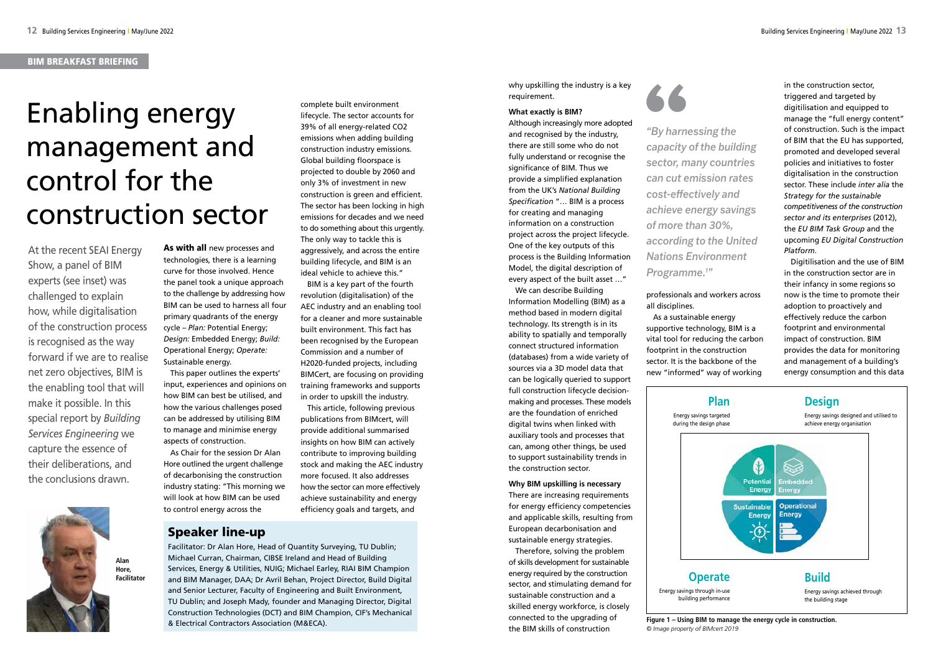As with all new processes and technologies, there is a learning curve for those involved. Hence the panel took a unique approach to the challenge by addressing how BIM can be used to harness all four primary quadrants of the energy cycle – *Plan:* Potential Energy; *Design:* Embedded Energy; *Build:* Operational Energy; *Operate:* Sustainable energy.

This paper outlines the experts' input, experiences and opinions on how BIM can best be utilised, and how the various challenges posed can be addressed by utilising BIM to manage and minimise energy aspects of construction.

As Chair for the session Dr Alan Hore outlined the urgent challenge of decarbonising the construction industry stating: "This morning we will look at how BIM can be used to control energy across the

complete built environment lifecycle. The sector accounts for 39% of all energy-related CO2 emissions when adding building construction industry emissions. Global building floorspace is projected to double by 2060 and only 3% of investment in new construction is green and efficient. The sector has been locking in high emissions for decades and we need to do something about this urgently. The only way to tackle this is aggressively, and across the entire building lifecycle, and BIM is an ideal vehicle to achieve this."

BIM is a key part of the fourth revolution (digitalisation) of the AEC industry and an enabling tool for a cleaner and more sustainable built environment. This fact has been recognised by the European Commission and a number of H2020-funded projects, including BIMCert, are focusing on providing training frameworks and supports in order to upskill the industry.

This article, following previous publications from BIMcert, will provide additional summarised insights on how BIM can actively contribute to improving building stock and making the AEC industry more focused. It also addresses how the sector can more effectively achieve sustainability and energy efficiency goals and targets, and

# Enabling energy management and control for the construction sector

why upskilling the industry is a key requirement.

## **What exactly is BIM?**

Although increasingly more adopted and recognised by the industry, there are still some who do not fully understand or recognise the significance of BIM. Thus we provide a simplified explanation from the UK's *National Building Specification* "… BIM is a process for creating and managing information on a construction project across the project lifecycle. One of the key outputs of this process is the Building Information Model, the digital description of every aspect of the built asset …"

We can describe Building Information Modelling (BIM) as a method based in modern digital technology. Its strength is in its ability to spatially and temporally connect structured information (databases) from a wide variety of sources via a 3D model data that can be logically queried to support full construction lifecycle decisionmaking and processes. These models are the foundation of enriched digital twins when linked with auxiliary tools and processes that can, among other things, be used to support sustainability trends in the construction sector.

**Why BIM upskilling is necessary** There are increasing requirements for energy efficiency competencies and applicable skills, resulting from European decarbonisation and sustainable energy strategies.

Therefore, solving the problem of skills development for sustainable energy required by the construction sector, and stimulating demand for sustainable construction and a skilled energy workforce, is closely connected to the upgrading of the BIM skills of construction



## professionals and workers across all disciplines.

As a sustainable energy supportive technology, BIM is a vital tool for reducing the carbon footprint in the construction sector. It is the backbone of the new "informed" way of working

in the construction sector, triggered and targeted by digitilisation and equipped to manage the "full energy content" of construction. Such is the impact of BIM that the EU has supported, promoted and developed several policies and initiatives to foster digitalisation in the construction sector. These include *inter alia* the *Strategy for the sustainable competitiveness of the construction sector and its enterprises* (2012), the *EU BIM Task Group* and the upcoming *EU Digital Construction Platform*.

Digitilisation and the use of BIM in the construction sector are in their infancy in some regions so now is the time to promote their adoption to proactively and effectively reduce the carbon footprint and environmental impact of construction. BIM provides the data for monitoring and management of a building's energy consumption and this data

At the recent SEAI Energy Show, a panel of BIM experts (see inset) was challenged to explain how, while digitalisation of the construction process is recognised as the way forward if we are to realise net zero objectives, BIM is the enabling tool that will make it possible. In this special report by *Building Services Engineering* we capture the essence of their deliberations, and the conclusions drawn.

*"By harnessing the capacity of the building*  **example 3 modus field in the capacity of the building<br>sector, many countries** *can cut emission rates cost-effectively and achieve energy savings of more than 30%, according to the United Nations Environment Programme.1 "* 

## Speaker line-up

Facilitator: Dr Alan Hore, Head of Quantity Surveying, TU Dublin; Michael Curran, Chairman, CIBSE Ireland and Head of Building Services, Energy & Utilities, NUIG; Michael Earley, RIAI BIM Champion and BIM Manager, DAA; Dr Avril Behan, Project Director, Build Digital and Senior Lecturer, Faculty of Engineering and Built Environment, TU Dublin; and Joseph Mady, founder and Managing Director, Digital Construction Technologies (DCT) and BIM Champion, CIF's Mechanical & Electrical Contractors Association (M&ECA). **Figure 1 – Using BIM to manage the energy cycle in construction.**

*© Image property of BIMcert 2019*

Energy savings targeted during the design phase





**Operate** Energy savings through in-use building performance

Energy savings achieved through the building stage

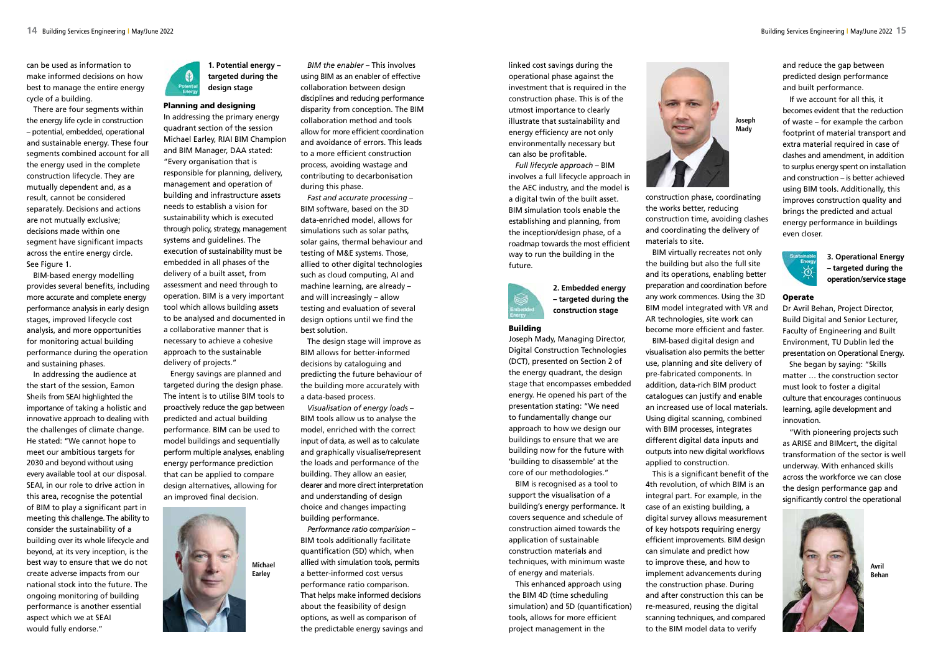can be used as information to make informed decisions on how best to manage the entire energy cycle of a building.

There are four segments within the energy life cycle in construction – potential, embedded, operational and sustainable energy. These four segments combined account for all the energy used in the complete construction lifecycle. They are mutually dependent and, as a result, cannot be considered separately. Decisions and actions are not mutually exclusive; decisions made within one segment have significant impacts across the entire energy circle. See Figure 1.

BIM-based energy modelling provides several benefits, including more accurate and complete energy performance analysis in early design stages, improved lifecycle cost analysis, and more opportunities for monitoring actual building performance during the operation and sustaining phases.

In addressing the audience at the start of the session, Eamon Sheils from SEAI highlighted the importance of taking a holistic and innovative approach to dealing with the challenges of climate change. He stated: "We cannot hope to meet our ambitious targets for 2030 and beyond without using every available tool at our disposal. SEAI, in our role to drive action in this area, recognise the potential of BIM to play a significant part in meeting this challenge. The ability to consider the sustainability of a building over its whole lifecycle and beyond, at its very inception, is the best way to ensure that we do not create adverse impacts from our national stock into the future. The ongoing monitoring of building performance is another essential aspect which we at SEAI would fully endorse."



## **targeted during the design stage**

## Planning and designing

In addressing the primary energy quadrant section of the session Michael Earley, RIAI BIM Champion and BIM Manager, DAA stated:

"Every organisation that is responsible for planning, delivery, management and operation of building and infrastructure assets needs to establish a vision for sustainability which is executed through policy, strategy, management systems and guidelines. The execution of sustainability must be embedded in all phases of the delivery of a built asset, from assessment and need through to operation. BIM is a very important tool which allows building assets to be analysed and documented in a collaborative manner that is necessary to achieve a cohesive approach to the sustainable delivery of projects."

Energy savings are planned and targeted during the design phase. The intent is to utilise BIM tools to proactively reduce the gap between predicted and actual building performance. BIM can be used to model buildings and sequentially perform multiple analyses, enabling energy performance prediction that can be applied to compare design alternatives, allowing for an improved final decision.

*BIM the enabler* – This involves using BIM as an enabler of effective collaboration between design disciplines and reducing performance disparity from conception. The BIM collaboration method and tools allow for more efficient coordination and avoidance of errors. This leads to a more efficient construction process, avoiding wastage and contributing to decarbonisation during this phase.

*Fast and accurate processing* – BIM software, based on the 3D data-enriched model, allows for simulations such as solar paths, solar gains, thermal behaviour and testing of M&E systems. Those, allied to other digital technologies such as cloud computing, AI and machine learning, are already – and will increasingly – allow testing and evaluation of several design options until we find the best solution.

The design stage will improve as BIM allows for better-informed decisions by cataloguing and predicting the future behaviour of the building more accurately with a data-based process.

*Visualisation of energy load*s – BIM tools allow us to analyse the model, enriched with the correct input of data, as well as to calculate and graphically visualise/represent the loads and performance of the building. They allow an easier, clearer and more direct interpretation and understanding of design choice and changes impacting building performance.

*Performance ratio comparision* – BIM tools additionally facilitate quantification (5D) which, when allied with simulation tools, permits a better-informed cost versus performance ratio comparison. That helps make informed decisions about the feasibility of design options, as well as comparison of the predictable energy savings and

linked cost savings during the operational phase against the investment that is required in the construction phase. This is of the utmost importance to clearly illustrate that sustainability and energy efficiency are not only environmentally necessary but can also be profitable.

*Full lifecycle approach* – BIM involves a full lifecycle approach in the AEC industry, and the model is a digital twin of the built asset. BIM simulation tools enable the establishing and planning, from the inception/design phase, of a roadmap towards the most efficient way to run the building in the future.



## **2. Embedded energy – targeted during the construction stage**

#### Building

Joseph Mady, Managing Director, Digital Construction Technologies (DCT), presented on Section 2 of the energy quadrant, the design stage that encompasses embedded energy. He opened his part of the presentation stating: "We need to fundamentally change our approach to how we design our buildings to ensure that we are building now for the future with 'building to disassemble' at the core of our methodologies."

BIM is recognised as a tool to support the visualisation of a building's energy performance. It covers sequence and schedule of construction aimed towards the application of sustainable construction materials and techniques, with minimum waste of energy and materials.

This enhanced approach using the BIM 4D (time scheduling simulation) and 5D (quantification) tools, allows for more efficient project management in the



construction phase, coordinating the works better, reducing construction time, avoiding clashes and coordinating the delivery of materials to site.

BIM virtually recreates not only the building but also the full site and its operations, enabling better preparation and coordination before any work commences. Using the 3D BIM model integrated with VR and AR technologies, site work can become more efficient and faster. BIM-based digital design and visualisation also permits the better use, planning and site delivery of pre-fabricated components. In addition, data-rich BIM product catalogues can justify and enable an increased use of local materials. Using digital scanning, combined with BIM processes, integrates different digital data inputs and outputs into new digital workflows applied to construction.

This is a significant benefit of the 4th revolution, of which BIM is an integral part. For example, in the case of an existing building, a digital survey allows measurement of key hotspots requiring energy efficient improvements. BIM design can simulate and predict how to improve these, and how to implement advancements during the construction phase. During and after construction this can be re-measured, reusing the digital scanning techniques, and compared to the BIM model data to verify

and reduce the gap between predicted design performance and built performance.

If we account for all this, it becomes evident that the reduction of waste – for example the carbon footprint of material transport and extra material required in case of clashes and amendment, in addition to surplus energy spent on installation and construction – is better achieved using BIM tools. Additionally, this improves construction quality and brings the predicted and actual energy performance in buildings even closer.



**Operate** 

**3. Operational Energy – targeted during the operation/service stage**

Dr Avril Behan, Project Director, Build Digital and Senior Lecturer, Faculty of Engineering and Built Environment, TU Dublin led the presentation on Operational Energy.

She began by saying: "Skills matter … the construction sector must look to foster a digital culture that encourages continuous learning, agile development and innovation.

"With pioneering projects such as ARISE and BIMcert, the digital transformation of the sector is well underway. With enhanced skills across the workforce we can close the design performance gap and significantly control the operational



**Joseph Mady**



**Avril Behan**